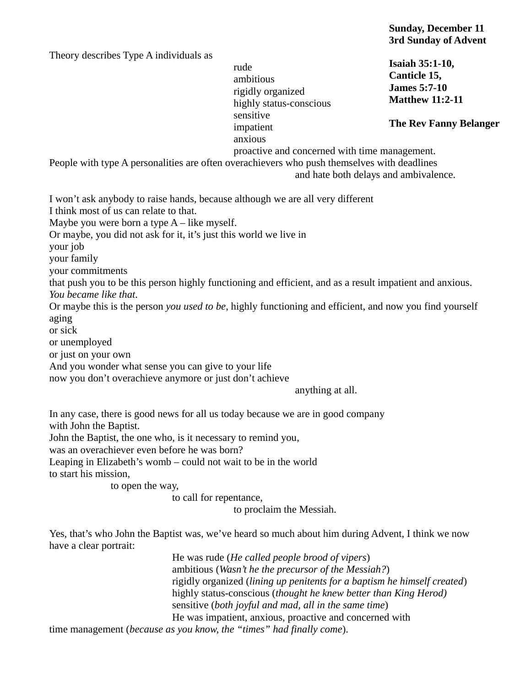Theory describes Type A individuals as

rude ambitious rigidly organized highly status-conscious sensitive impatient anxious

## **Isaiah 35:1-10, Canticle 15, James 5:7-10 Matthew 11:2-11**

**The Rev Fanny Belanger**

proactive and concerned with time management.

People with type A personalities are often overachievers who push themselves with deadlines and hate both delays and ambivalence.

I won't ask anybody to raise hands, because although we are all very different

I think most of us can relate to that.

Maybe you were born a type  $A$  – like myself.

Or maybe, you did not ask for it, it's just this world we live in

your job

your family

your commitments

that push you to be this person highly functioning and efficient, and as a result impatient and anxious. *You became like that*.

Or maybe this is the person *you used to be*, highly functioning and efficient, and now you find yourself aging

or sick

or unemployed

or just on your own

And you wonder what sense you can give to your life

now you don't overachieve anymore or just don't achieve

anything at all.

In any case, there is good news for all us today because we are in good company with John the Baptist.

John the Baptist, the one who, is it necessary to remind you,

was an overachiever even before he was born?

Leaping in Elizabeth's womb – could not wait to be in the world

to start his mission,

to open the way,

to call for repentance,

to proclaim the Messiah.

Yes, that's who John the Baptist was, we've heard so much about him during Advent, I think we now have a clear portrait:

He was rude (*He called people brood of vipers*) ambitious (*Wasn't he the precursor of the Messiah?*) rigidly organized (*lining up penitents for a baptism he himself created*) highly status-conscious (*thought he knew better than King Herod)* sensitive (*both joyful and mad, all in the same time*) He was impatient, anxious, proactive and concerned with

time management (*because as you know, the "times" had finally come*).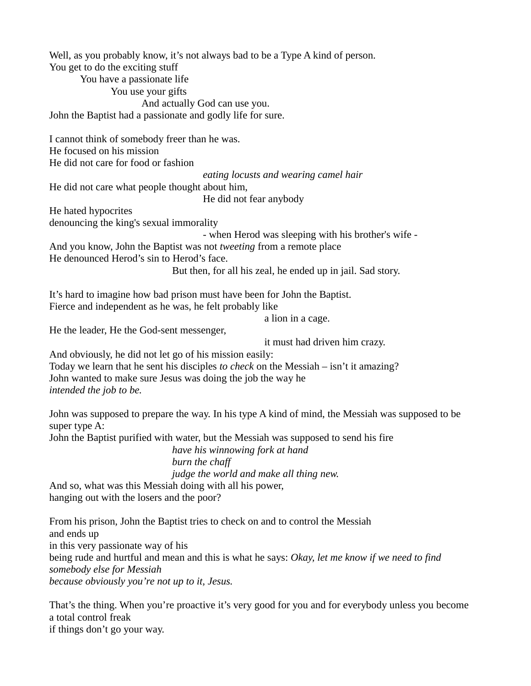Well, as you probably know, it's not always bad to be a Type A kind of person. You get to do the exciting stuff You have a passionate life You use your gifts And actually God can use you. John the Baptist had a passionate and godly life for sure. I cannot think of somebody freer than he was. He focused on his mission He did not care for food or fashion *eating locusts and wearing camel hair* He did not care what people thought about him, He did not fear anybody He hated hypocrites denouncing the king's sexual immorality - when Herod was sleeping with his brother's wife - And you know, John the Baptist was not *tweeting* from a remote place He denounced Herod's sin to Herod's face. But then, for all his zeal, he ended up in jail. Sad story. It's hard to imagine how bad prison must have been for John the Baptist. Fierce and independent as he was, he felt probably like a lion in a cage. He the leader, He the God-sent messenger, it must had driven him crazy. And obviously, he did not let go of his mission easily: Today we learn that he sent his disciples *to check* on the Messiah – isn't it amazing? John wanted to make sure Jesus was doing the job the way he *intended the job to be.* John was supposed to prepare the way. In his type A kind of mind, the Messiah was supposed to be super type A: John the Baptist purified with water, but the Messiah was supposed to send his fire *have his winnowing fork at hand burn the chaff judge the world and make all thing new.* And so, what was this Messiah doing with all his power, hanging out with the losers and the poor? From his prison, John the Baptist tries to check on and to control the Messiah and ends up in this very passionate way of his being rude and hurtful and mean and this is what he says: *Okay, let me know if we need to find somebody else for Messiah because obviously you're not up to it, Jesus.*

That's the thing. When you're proactive it's very good for you and for everybody unless you become a total control freak if things don't go your way.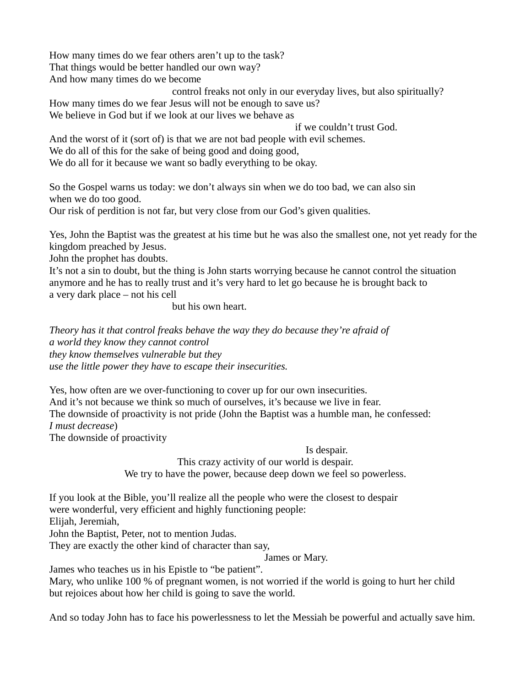How many times do we fear others aren't up to the task? That things would be better handled our own way? And how many times do we become

control freaks not only in our everyday lives, but also spiritually? How many times do we fear Jesus will not be enough to save us?

We believe in God but if we look at our lives we behave as

if we couldn't trust God.

And the worst of it (sort of) is that we are not bad people with evil schemes.

We do all of this for the sake of being good and doing good,

We do all for it because we want so badly everything to be okay.

So the Gospel warns us today: we don't always sin when we do too bad, we can also sin when we do too good.

Our risk of perdition is not far, but very close from our God's given qualities.

Yes, John the Baptist was the greatest at his time but he was also the smallest one, not yet ready for the kingdom preached by Jesus.

John the prophet has doubts.

It's not a sin to doubt, but the thing is John starts worrying because he cannot control the situation anymore and he has to really trust and it's very hard to let go because he is brought back to a very dark place – not his cell

but his own heart.

*Theory has it that control freaks behave the way they do because they're afraid of a world they know they cannot control they know themselves vulnerable but they use the little power they have to escape their insecurities.*

Yes, how often are we over-functioning to cover up for our own insecurities. And it's not because we think so much of ourselves, it's because we live in fear. The downside of proactivity is not pride (John the Baptist was a humble man, he confessed: *I must decrease*) The downside of proactivity

Is despair.

This crazy activity of our world is despair. We try to have the power, because deep down we feel so powerless.

If you look at the Bible, you'll realize all the people who were the closest to despair were wonderful, very efficient and highly functioning people:

Elijah, Jeremiah,

John the Baptist, Peter, not to mention Judas.

They are exactly the other kind of character than say,

James or Mary.

James who teaches us in his Epistle to "be patient".

Mary, who unlike 100 % of pregnant women, is not worried if the world is going to hurt her child but rejoices about how her child is going to save the world.

And so today John has to face his powerlessness to let the Messiah be powerful and actually save him.